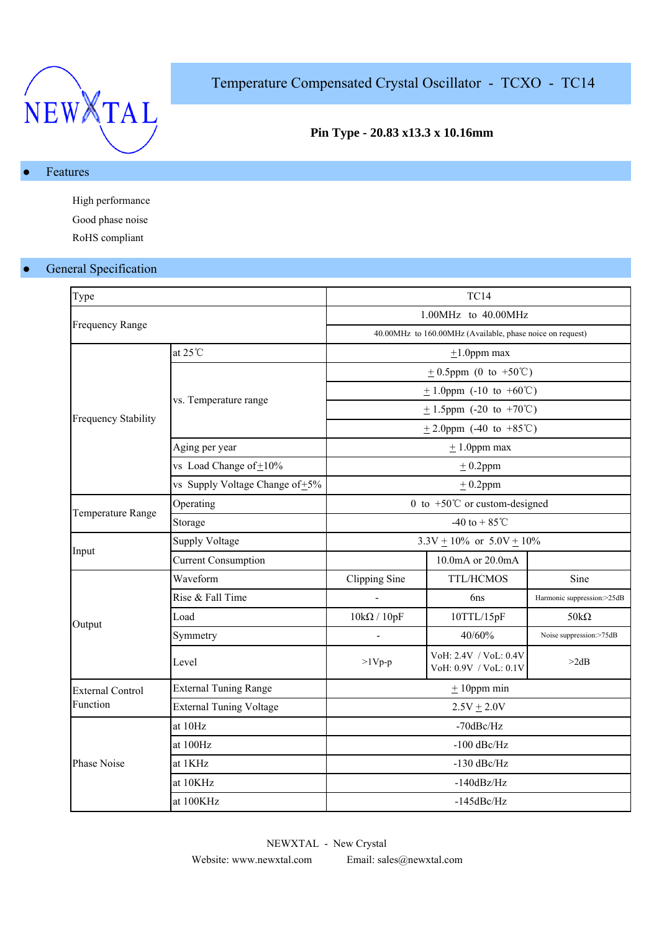

# Temperature Compensated Crystal Oscillator - TCXO - TC14

## **Pin Type - 20.83 x13.3 x 10.16mm**

### ● Features

High performance Good phase noise RoHS compliant

## **•** General Specification

| Type                    |                                      | <b>TC14</b>                             |                                                           |                            |  |  |  |
|-------------------------|--------------------------------------|-----------------------------------------|-----------------------------------------------------------|----------------------------|--|--|--|
|                         |                                      | 1.00MHz to 40.00MHz                     |                                                           |                            |  |  |  |
| <b>Frequency Range</b>  |                                      |                                         | 40.00MHz to 160.00MHz (Available, phase noice on request) |                            |  |  |  |
|                         | at $25^{\circ}$ C                    |                                         | $\pm 1.0$ ppm max                                         |                            |  |  |  |
|                         |                                      |                                         | $\pm$ 0.5ppm (0 to +50°C)                                 |                            |  |  |  |
|                         |                                      |                                         | $\pm$ 1.0ppm (-10 to +60°C)                               |                            |  |  |  |
|                         | vs. Temperature range                |                                         | $\pm$ 1.5ppm (-20 to +70°C)                               |                            |  |  |  |
| Frequency Stability     |                                      |                                         | $\pm$ 2.0ppm (-40 to +85°C)                               |                            |  |  |  |
|                         | Aging per year                       |                                         | $± 1.0$ ppm max                                           |                            |  |  |  |
|                         | vs Load Change of $\pm 10\%$         |                                         | $±$ 0.2ppm                                                |                            |  |  |  |
|                         | vs Supply Voltage Change of $\pm$ 5% |                                         | $± 0.2$ ppm                                               |                            |  |  |  |
|                         | Operating                            | 0 to $+50^{\circ}$ C or custom-designed |                                                           |                            |  |  |  |
| Temperature Range       | Storage                              | -40 to + $85^{\circ}$ C                 |                                                           |                            |  |  |  |
|                         | <b>Supply Voltage</b>                | $3.3V \pm 10\%$ or $5.0V \pm 10\%$      |                                                           |                            |  |  |  |
| Input                   | <b>Current Consumption</b>           | 10.0mA or 20.0mA                        |                                                           |                            |  |  |  |
|                         | Waveform                             | Clipping Sine                           | TTL/HCMOS                                                 | Sine                       |  |  |  |
|                         | Rise & Fall Time                     |                                         | 6ns                                                       | Harmonic suppression:>25dB |  |  |  |
| Output                  | Load                                 | $10k\Omega / 10pF$                      | 10TTL/15pF                                                | 50 $k\Omega$               |  |  |  |
|                         | Symmetry                             |                                         | 40/60%                                                    | Noise suppression:>75dB    |  |  |  |
|                         | Level                                | $>1Vp-p$                                | VoH: 2.4V / VoL: 0.4V<br>VoH: 0.9V / VoL: 0.1V            | >2dB                       |  |  |  |
| <b>External Control</b> | <b>External Tuning Range</b>         | $±$ 10ppm min                           |                                                           |                            |  |  |  |
| Function                | <b>External Tuning Voltage</b>       | $2.5V + 2.0V$                           |                                                           |                            |  |  |  |
|                         | at 10Hz                              | -70dBc/Hz                               |                                                           |                            |  |  |  |
|                         | at 100Hz                             | $-100$ dBc/Hz                           |                                                           |                            |  |  |  |
| Phase Noise             | at 1KHz                              | $-130$ dBc/Hz                           |                                                           |                            |  |  |  |
|                         | at 10KHz                             |                                         | $-140dBz/Hz$                                              |                            |  |  |  |
|                         | at 100KHz                            |                                         | $-145$ d $Be/Hz$                                          |                            |  |  |  |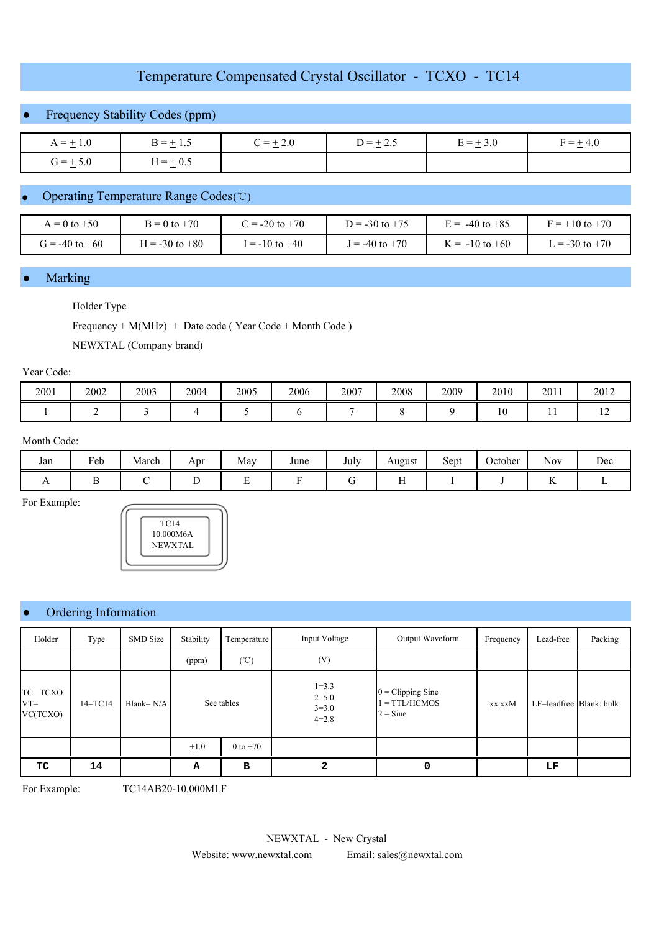# Temperature Compensated Crystal Oscillator - TCXO - TC14

## Frequency Stability Codes (ppm)

| $A = \pm 1.0$ | $B = \pm 1.5$ | $C = \pm 2.0$ | $D = \pm 2.5$ | $E = \pm 3.0$ | $F = \pm 4.6$ |
|---------------|---------------|---------------|---------------|---------------|---------------|
| $G = \pm 5.0$ | $H = \pm 0.5$ |               |               |               |               |

## ● Operating Temperature Range Codes (℃)

| $t = 0$ to $+50$   | $B = 0$ to $+70$   | $\sum$ = -20 to +70 | $D = -30$ to $+75$ | $E = -40$ to $+85$ | $F = +10$ to $+70$ |
|--------------------|--------------------|---------------------|--------------------|--------------------|--------------------|
| $T = -40$ to $+60$ | $H = -30$ to $+80$ | $= -10$ to $+40$    | $= -40$ to $+70$   | $K = -10$ to $+60$ | $= -30$ to $+70$   |

#### **Marking**

#### Holder Type

Frequency + M(MHz) + Date code ( Year Code + Month Code )

NEWXTAL (Company brand)

#### Year Code:

| 2001 | 2002 | 2003 | 2004 | 2005<br>. | 2006 | 2007 | 2008 | 2009 | 2010<br>$\sim$ $\sim$ | 2011 | 2012 |
|------|------|------|------|-----------|------|------|------|------|-----------------------|------|------|
|      |      |      |      |           |      |      |      |      |                       |      |      |

#### Month Code:

| Jan | Feb | March | Apr | May<br>$\sim$ | June | $\mathbf{r}$ 1<br>July<br>. | August<br>ے . | $\sim$<br>Sept | ∼<br>Jctober | $\mathbf{v}$<br>Nov | Dec |
|-----|-----|-------|-----|---------------|------|-----------------------------|---------------|----------------|--------------|---------------------|-----|
|     |     |       |     |               |      |                             |               |                |              |                     |     |

For Example:



## Ordering Information

| Holder                        | Type        | <b>SMD</b> Size | Stability  | Temperature   | Input Voltage                                  | Output Waveform                                             | Frequency | Lead-free               | Packing |
|-------------------------------|-------------|-----------------|------------|---------------|------------------------------------------------|-------------------------------------------------------------|-----------|-------------------------|---------|
|                               |             |                 | (ppm)      | $(\degree C)$ | (V)                                            |                                                             |           |                         |         |
| TC=TCXO<br>$VT =$<br>VC(TCXO) | $14 = TC14$ | Blank= $N/A$    | See tables |               | $1 = 3.3$<br>$2 = 5.0$<br>$3 = 3.0$<br>$4=2.8$ | $0 = \text{Clipping Sine}$<br>$1 = TTL/HCMOS$<br>$2 = Sine$ | xx.xxM    | LF=leadfree Blank: bulk |         |
|                               |             |                 | $\pm 1.0$  | $0$ to $+70$  |                                                |                                                             |           |                         |         |
| TC                            | 14          |                 | А          | в             | 2                                              | 0                                                           |           | LF                      |         |

For Example: TC14AB20-10.000MLF